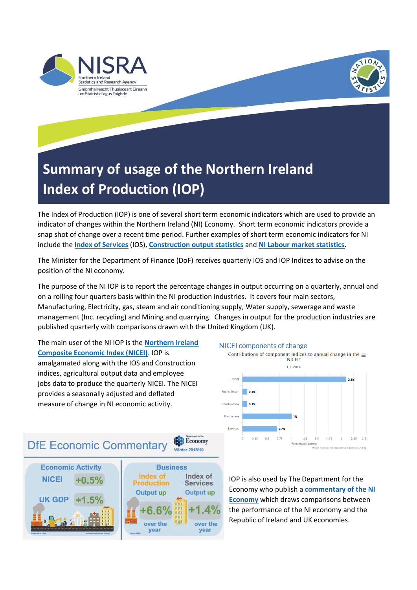



## **Summary of usage of the Northern Ireland Index of Production (IOP)**

The Index of Production (IOP) is one of several short term economic indicators which are used to provide an indicator of changes within the Northern Ireland (NI) Economy. Short term economic indicators provide a snap shot of change over a recent time period. Further examples of short term economic indicators for NI include the **[Index of Services](https://www.nisra.gov.uk/statistics/economic-output-statistics/index-services)** (IOS), **[Construction output statistics](https://www.nisra.gov.uk/statistics/economic-output-statistics/construction-output-statistics)** and **[NI Labour market statistics](https://www.nisra.gov.uk/statistics/labour-market-and-social-welfare)**.

The Minister for the Department of Finance (DoF) receives quarterly IOS and IOP Indices to advise on the position of the NI economy.

The purpose of the NI IOP is to report the percentage changes in output occurring on a quarterly, annual and on a rolling four quarters basis within the NI production industries. It covers four main sectors, Manufacturing, Electricity, gas, steam and air conditioning supply, Water supply, sewerage and waste management (Inc. recycling) and Mining and quarrying. Changes in output for the production industries are published quarterly with comparisons drawn with the United Kingdom (UK).

The main user of the NI IOP is the **[Northern Ireland](https://www.nisra.gov.uk/statistics/economic-output-statistics/ni-composite-economic-index)  [Composite Economic Index \(NICEI\)](https://www.nisra.gov.uk/statistics/economic-output-statistics/ni-composite-economic-index)**. IOP is amalgamated along with the IOS and Construction indices, agricultural output data and employee jobs data to produce the quarterly NICEI. The NICEI provides a seasonally adjusted and deflated measure of change in NI economic activity.



## NICEI components of change



IOP is also used by The Department for the Economy who publish a **[commentary of the NI](https://www.economy-ni.gov.uk/publications/dfe-economic-commentary)  [Economy](https://www.economy-ni.gov.uk/publications/dfe-economic-commentary)** which draws comparisons between the performance of the NI economy and the Republic of Ireland and UK economies.